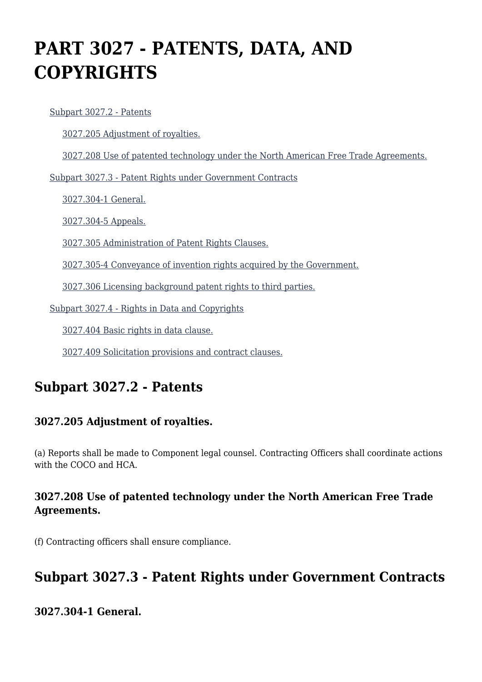# **PART 3027 - PATENTS, DATA, AND COPYRIGHTS**

 [Subpart 3027.2 - Patents](https://origin-www.acquisition.gov/%5Brp:link:hsar-part-3027%5D#Subpart_3027_2_T48_70211271) [3027.205 Adjustment of royalties.](https://origin-www.acquisition.gov/%5Brp:link:hsar-part-3027%5D#Section_3027_205_T48_7021127111) [3027.208 Use of patented technology under the North American Free Trade Agreements.](https://origin-www.acquisition.gov/%5Brp:link:hsar-part-3027%5D#Section_3027_208_T48_7021127112) [Subpart 3027.3 - Patent Rights under Government Contracts](https://origin-www.acquisition.gov/%5Brp:link:hsar-part-3027%5D#Subpart_3027_3_T48_70211272) [3027.304-1 General.](https://origin-www.acquisition.gov/%5Brp:link:hsar-part-3027%5D#Section_3027_304_1_T48_7021127211) [3027.304-5 Appeals.](https://origin-www.acquisition.gov/%5Brp:link:hsar-part-3027%5D#Section_3027_304_5_T48_7021127212) [3027.305 Administration of Patent Rights Clauses.](https://origin-www.acquisition.gov/%5Brp:link:hsar-part-3027%5D#Section_3027_305_T48_7021127213) [3027.305-4 Conveyance of invention rights acquired by the Government.](https://origin-www.acquisition.gov/%5Brp:link:hsar-part-3027%5D#Section_3027_305_4_T48_7021127214) [3027.306 Licensing background patent rights to third parties.](https://origin-www.acquisition.gov/%5Brp:link:hsar-part-3027%5D#Section_3027_306_T48_7021127215) [Subpart 3027.4 - Rights in Data and Copyrights](https://origin-www.acquisition.gov/%5Brp:link:hsar-part-3027%5D#Subpart_3027_4_T48_70211273)

[3027.404 Basic rights in data clause.](https://origin-www.acquisition.gov/%5Brp:link:hsar-part-3027%5D#Section_3027_404_T48_7021127311)

[3027.409 Solicitation provisions and contract clauses.](https://origin-www.acquisition.gov/%5Brp:link:hsar-part-3027%5D#Section_3027_409_T48_7021127312)

# **Subpart 3027.2 - Patents**

#### **3027.205 Adjustment of royalties.**

(a) Reports shall be made to Component legal counsel. Contracting Officers shall coordinate actions with the COCO and HCA.

#### **3027.208 Use of patented technology under the North American Free Trade Agreements.**

(f) Contracting officers shall ensure compliance.

# **Subpart 3027.3 - Patent Rights under Government Contracts**

**3027.304-1 General.**